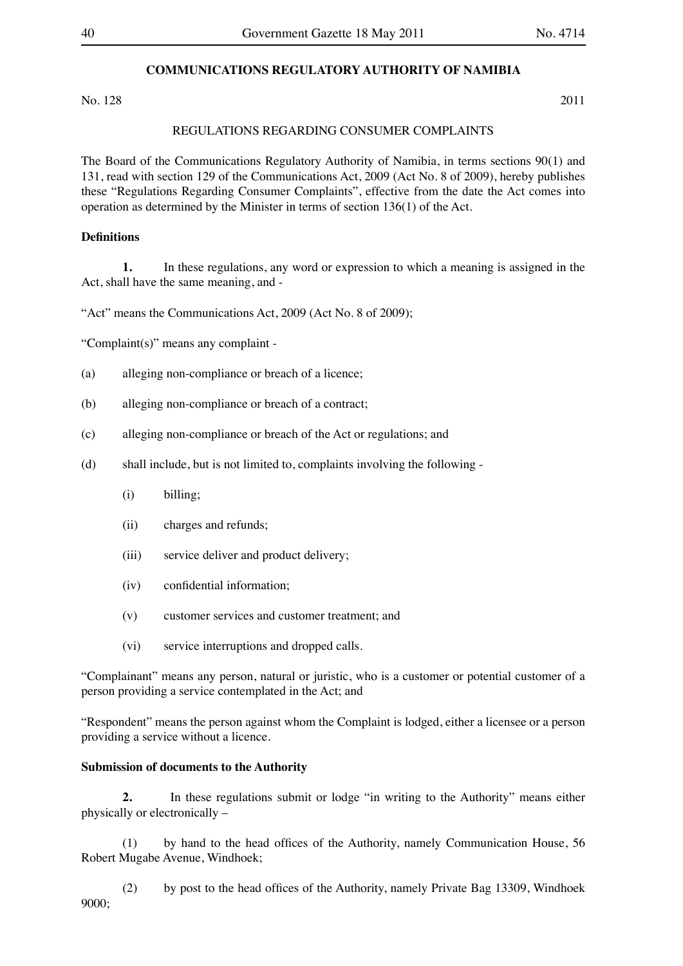# **COMMUNICATIONS REGULATORY AUTHORITY OF NAMIBIA**

No. 128 2011

### REGULATIONS REGARDING CONSUMER COMPLAINTS

The Board of the Communications Regulatory Authority of Namibia, in terms sections 90(1) and 131, read with section 129 of the Communications Act, 2009 (Act No. 8 of 2009), hereby publishes these "Regulations Regarding Consumer Complaints", effective from the date the Act comes into operation as determined by the Minister in terms of section 136(1) of the Act.

## **Definitions**

**1.** In these regulations, any word or expression to which a meaning is assigned in the Act, shall have the same meaning, and -

"Act" means the Communications Act, 2009 (Act No. 8 of 2009);

"Complaint(s)" means any complaint -

- (a) alleging non-compliance or breach of a licence;
- (b) alleging non-compliance or breach of a contract;
- (c) alleging non-compliance or breach of the Act or regulations; and
- (d) shall include, but is not limited to, complaints involving the following  $-\frac{1}{2}$ 
	- $(i)$  billing;
	- (ii) charges and refunds;
	- (iii) service deliver and product delivery;
	- (iv) confidential information;
	- (v) customer services and customer treatment; and
	- (vi) service interruptions and dropped calls.

"Complainant" means any person, natural or juristic, who is a customer or potential customer of a person providing a service contemplated in the Act; and

"Respondent" means the person against whom the Complaint is lodged, either a licensee or a person providing a service without a licence.

#### **Submission of documents to the Authority**

**2.** In these regulations submit or lodge "in writing to the Authority" means either physically or electronically –

 (1) by hand to the head offices of the Authority, namely Communication House, 56 Robert Mugabe Avenue, Windhoek;

 (2) by post to the head offices of the Authority, namely Private Bag 13309, Windhoek 9000;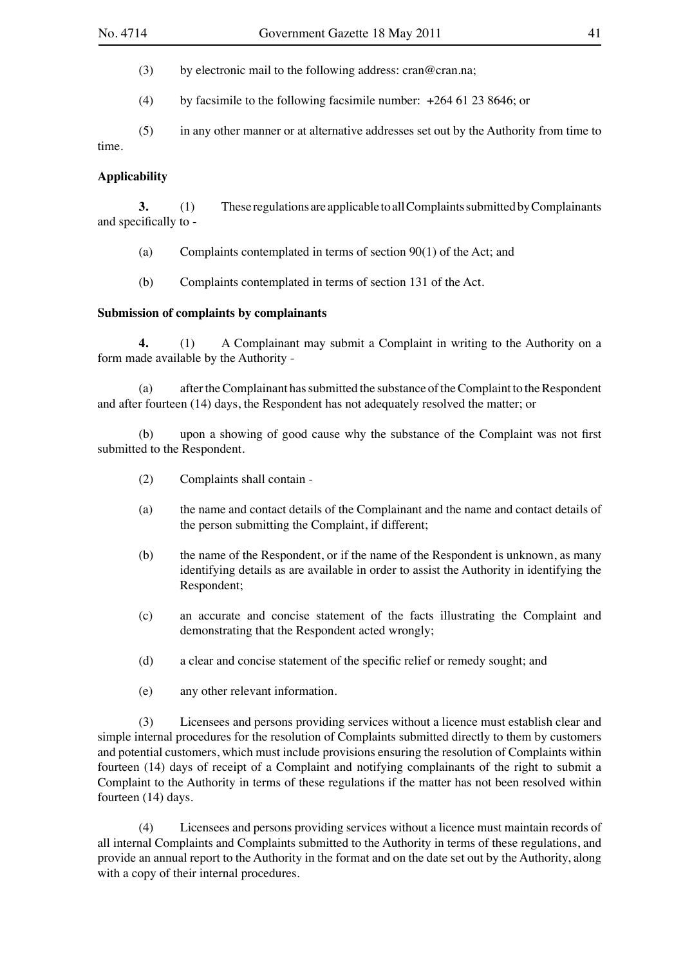(3) by electronic mail to the following address: cran@cran.na;

(4) by facsimile to the following facsimile number:  $+26461238646$ ; or

 (5) in any other manner or at alternative addresses set out by the Authority from time to time.

# **Applicability**

**3.** (1) These regulations are applicable to all Complaints submitted by Complainants and specifically to -

(a) Complaints contemplated in terms of section  $90(1)$  of the Act; and

 (b) Complaints contemplated in terms of section 131 of the Act.

### **Submission of complaints by complainants**

**4.** (1) A Complainant may submit a Complaint in writing to the Authority on a form made available by the Authority -

(a) after the Complainant has submitted the substance of the Complaint to the Respondent and after fourteen (14) days, the Respondent has not adequately resolved the matter; or

 (b) upon a showing of good cause why the substance of the Complaint was not first submitted to the Respondent.

- (2) Complaints shall contain -
- (a) the name and contact details of the Complainant and the name and contact details of the person submitting the Complaint, if different;
- (b) the name of the Respondent, or if the name of the Respondent is unknown, as many identifying details as are available in order to assist the Authority in identifying the Respondent;
- (c) an accurate and concise statement of the facts illustrating the Complaint and demonstrating that the Respondent acted wrongly;
- (d) a clear and concise statement of the specific relief or remedy sought; and
- (e) any other relevant information.

 (3) Licensees and persons providing services without a licence must establish clear and simple internal procedures for the resolution of Complaints submitted directly to them by customers and potential customers, which must include provisions ensuring the resolution of Complaints within fourteen (14) days of receipt of a Complaint and notifying complainants of the right to submit a Complaint to the Authority in terms of these regulations if the matter has not been resolved within fourteen (14) days.

 (4) Licensees and persons providing services without a licence must maintain records of all internal Complaints and Complaints submitted to the Authority in terms of these regulations, and provide an annual report to the Authority in the format and on the date set out by the Authority, along with a copy of their internal procedures.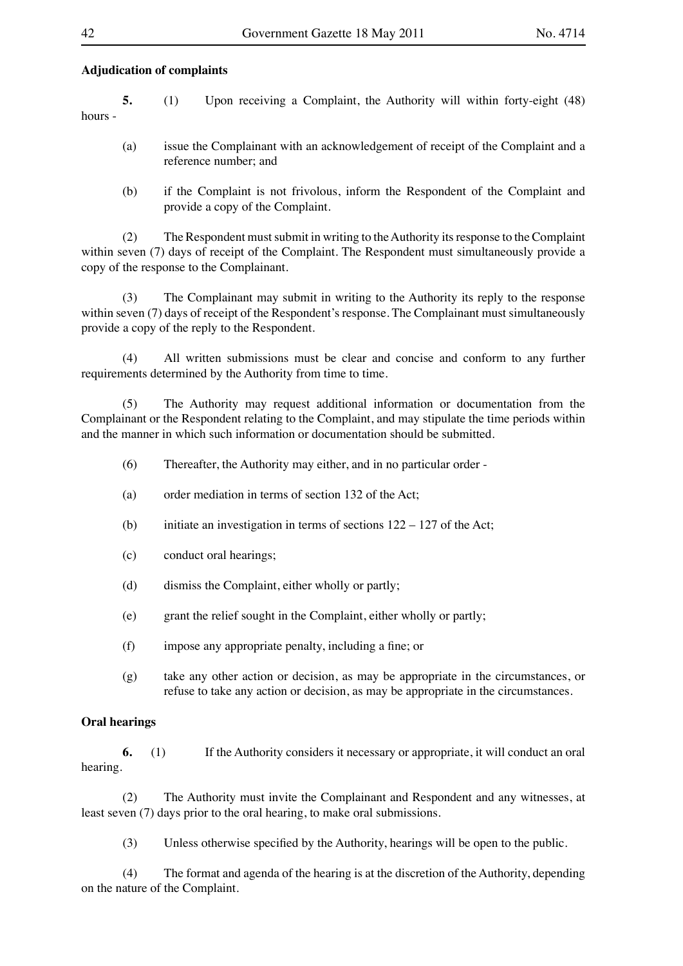# **Adjudication of complaints**

**5.** (1) Upon receiving a Complaint, the Authority will within forty-eight (48) hours -

- (a) issue the Complainant with an acknowledgement of receipt of the Complaint and a reference number; and
- (b) if the Complaint is not frivolous, inform the Respondent of the Complaint and provide a copy of the Complaint.

(2) The Respondent must submit in writing to the Authority its response to the Complaint within seven (7) days of receipt of the Complaint. The Respondent must simultaneously provide a copy of the response to the Complainant.

 (3) The Complainant may submit in writing to the Authority its reply to the response within seven (7) days of receipt of the Respondent's response. The Complainant must simultaneously provide a copy of the reply to the Respondent.

 (4) All written submissions must be clear and concise and conform to any further requirements determined by the Authority from time to time.

 (5) The Authority may request additional information or documentation from the Complainant or the Respondent relating to the Complaint, and may stipulate the time periods within and the manner in which such information or documentation should be submitted.

- $(6)$  Thereafter, the Authority may either, and in no particular order -
- (a) order mediation in terms of section 132 of the Act;
- (b) initiate an investigation in terms of sections  $122 127$  of the Act;
- (c) conduct oral hearings;
- (d) dismiss the Complaint, either wholly or partly;
- (e) grant the relief sought in the Complaint, either wholly or partly;
- (f) impose any appropriate penalty, including a fine; or
- (g) take any other action or decision, as may be appropriate in the circumstances, or refuse to take any action or decision, as may be appropriate in the circumstances.

### **Oral hearings**

**6.** (1) If the Authority considers it necessary or appropriate, it will conduct an oral hearing.

 (2) The Authority must invite the Complainant and Respondent and any witnesses, at least seven (7) days prior to the oral hearing, to make oral submissions.

 (3) Unless otherwise specified by the Authority, hearings will be open to the public.

 (4) The format and agenda of the hearing is at the discretion of the Authority, depending on the nature of the Complaint.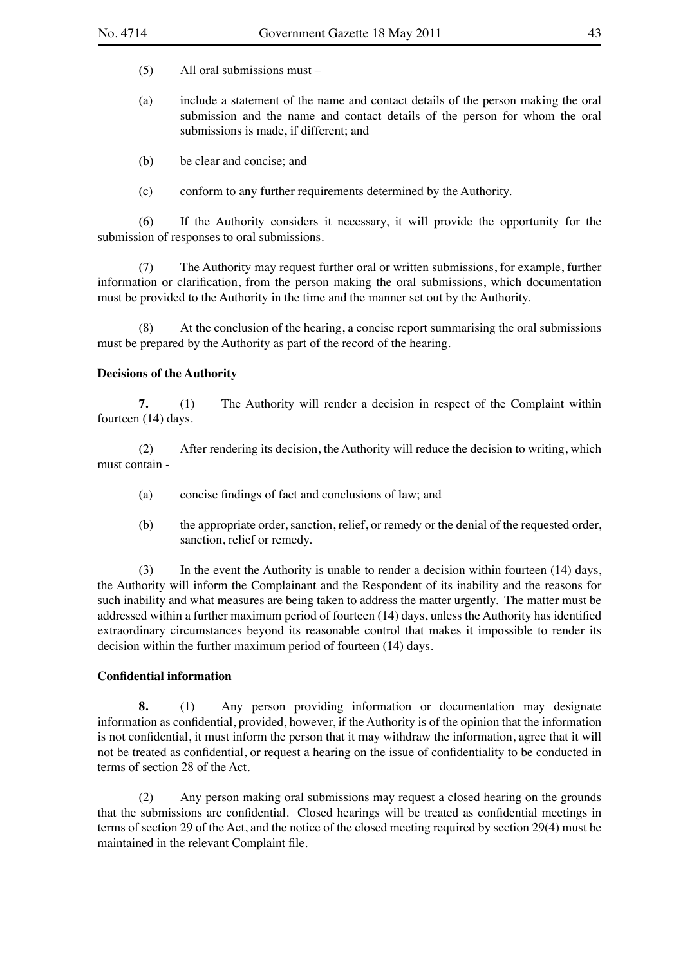- $(5)$  All oral submissions must –
- (a) include a statement of the name and contact details of the person making the oral submission and the name and contact details of the person for whom the oral submissions is made, if different; and
- (b) be clear and concise; and
- (c) conform to any further requirements determined by the Authority.

 (6) If the Authority considers it necessary, it will provide the opportunity for the submission of responses to oral submissions.

 (7) The Authority may request further oral or written submissions, for example, further information or clarification, from the person making the oral submissions, which documentation must be provided to the Authority in the time and the manner set out by the Authority.

 (8) At the conclusion of the hearing, a concise report summarising the oral submissions must be prepared by the Authority as part of the record of the hearing.

# **Decisions of the Authority**

**7.** (1) The Authority will render a decision in respect of the Complaint within fourteen (14) days.

(2) After rendering its decision, the Authority will reduce the decision to writing, which must contain -

- (a) concise findings of fact and conclusions of law; and
- (b) the appropriate order, sanction, relief, or remedy or the denial of the requested order, sanction, relief or remedy.

(3) In the event the Authority is unable to render a decision within fourteen (14) days, the Authority will inform the Complainant and the Respondent of its inability and the reasons for such inability and what measures are being taken to address the matter urgently. The matter must be addressed within a further maximum period of fourteen (14) days, unless the Authority has identified extraordinary circumstances beyond its reasonable control that makes it impossible to render its decision within the further maximum period of fourteen (14) days.

# **Confidential information**

**8.** (1) Any person providing information or documentation may designate information as confidential, provided, however, if the Authority is of the opinion that the information is not confidential, it must inform the person that it may withdraw the information, agree that it will not be treated as confidential, or request a hearing on the issue of confidentiality to be conducted in terms of section 28 of the Act.

 (2) Any person making oral submissions may request a closed hearing on the grounds that the submissions are confidential. Closed hearings will be treated as confidential meetings in terms of section 29 of the Act, and the notice of the closed meeting required by section 29(4) must be maintained in the relevant Complaint file.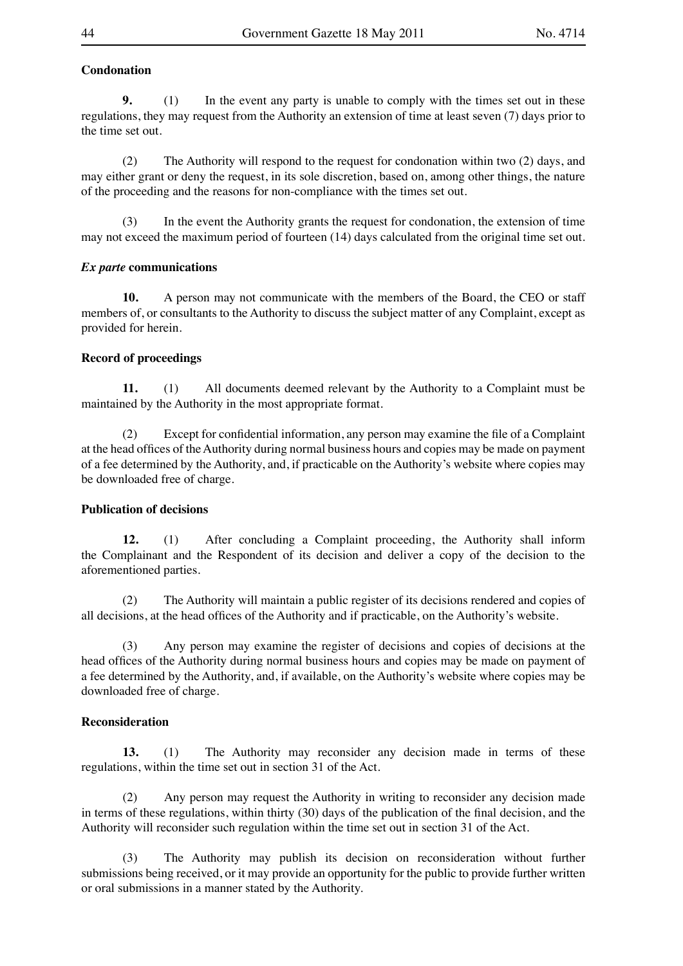# **Condonation**

**9.** (1) In the event any party is unable to comply with the times set out in these regulations, they may request from the Authority an extension of time at least seven (7) days prior to the time set out.

(2) The Authority will respond to the request for condonation within two (2) days, and may either grant or deny the request, in its sole discretion, based on, among other things, the nature of the proceeding and the reasons for non-compliance with the times set out.

 (3) In the event the Authority grants the request for condonation, the extension of time may not exceed the maximum period of fourteen (14) days calculated from the original time set out.

# *Ex parte* **communications**

**10.** A person may not communicate with the members of the Board, the CEO or staff members of, or consultants to the Authority to discuss the subject matter of any Complaint, except as provided for herein.

### **Record of proceedings**

**11.** (1) All documents deemed relevant by the Authority to a Complaint must be maintained by the Authority in the most appropriate format.

 (2) Except for confidential information, any person may examine the file of a Complaint at the head offices of the Authority during normal business hours and copies may be made on payment of a fee determined by the Authority, and, if practicable on the Authority's website where copies may be downloaded free of charge.

### **Publication of decisions**

**12.** (1) After concluding a Complaint proceeding, the Authority shall inform the Complainant and the Respondent of its decision and deliver a copy of the decision to the aforementioned parties.

 (2) The Authority will maintain a public register of its decisions rendered and copies of all decisions, at the head offices of the Authority and if practicable, on the Authority's website.

 (3) Any person may examine the register of decisions and copies of decisions at the head offices of the Authority during normal business hours and copies may be made on payment of a fee determined by the Authority, and, if available, on the Authority's website where copies may be downloaded free of charge.

### **Reconsideration**

**13.** (1) The Authority may reconsider any decision made in terms of these regulations, within the time set out in section 31 of the Act.

 (2) Any person may request the Authority in writing to reconsider any decision made in terms of these regulations, within thirty (30) days of the publication of the final decision, and the Authority will reconsider such regulation within the time set out in section 31 of the Act.

 (3) The Authority may publish its decision on reconsideration without further submissions being received, or it may provide an opportunity for the public to provide further written or oral submissions in a manner stated by the Authority.